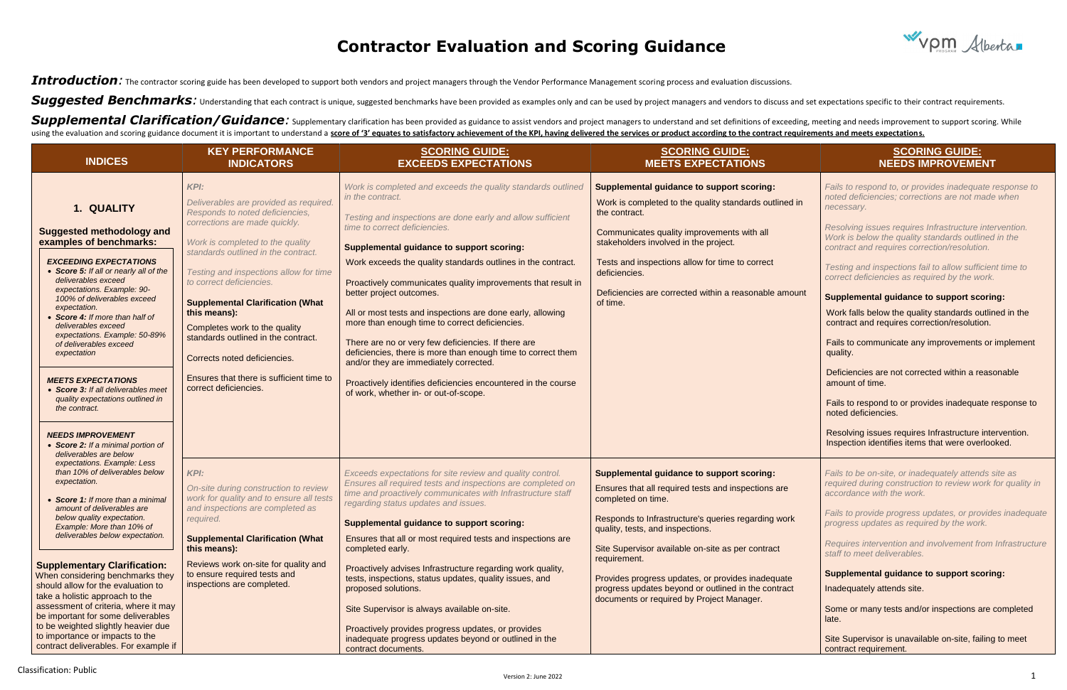## **Contractor Evaluation and Scoring Guidance**

Introduction: The contractor scoring guide has been developed to support both vendors and project managers through the Vendor Performance Management scoring process and evaluation discussions.

Suggested Benchmarks: Understanding that each contract is unique, suggested benchmarks have been provided as examples only and can be used by project managers and vendors to discuss and set expectations specific to their c

Supplemental Clarification/Guidance: Supplementary clarification has been provided as guidance to assist vendors and project managers to understand and set definitions of exceeding, meeting and needs improvement to support using the evaluation and scoring guidance document it is important to understand a score of '3' equates to satisfactory achievement of the KPI, having delivered the services or product according to the contract requirement



| <b>INDICES</b>                                                                                                                                                                                                                                                                                                                                                                                                                                                                                                                                                                                                                                                                                                                                                                                                                                                                                                                                                                                                                                                                                                                                                                                                           | <b>KEY PERFORMANCE</b><br><b>INDICATORS</b>                                                                                                                                                                                                                                                                                                                                                                                                                                                                        | <b>SCORING GUIDE:</b><br><b>EXCEEDS EXPECTATIONS</b>                                                                                                                                                                                                                                                                                                                                                                                                                                                                                                                                                                                                                                                                                                                                        | <b>SCORING GUIDE:</b><br><b>MEETS EXPECTATIONS</b>                                                                                                                                                                                                                                                                                                                                                                                                     |
|--------------------------------------------------------------------------------------------------------------------------------------------------------------------------------------------------------------------------------------------------------------------------------------------------------------------------------------------------------------------------------------------------------------------------------------------------------------------------------------------------------------------------------------------------------------------------------------------------------------------------------------------------------------------------------------------------------------------------------------------------------------------------------------------------------------------------------------------------------------------------------------------------------------------------------------------------------------------------------------------------------------------------------------------------------------------------------------------------------------------------------------------------------------------------------------------------------------------------|--------------------------------------------------------------------------------------------------------------------------------------------------------------------------------------------------------------------------------------------------------------------------------------------------------------------------------------------------------------------------------------------------------------------------------------------------------------------------------------------------------------------|---------------------------------------------------------------------------------------------------------------------------------------------------------------------------------------------------------------------------------------------------------------------------------------------------------------------------------------------------------------------------------------------------------------------------------------------------------------------------------------------------------------------------------------------------------------------------------------------------------------------------------------------------------------------------------------------------------------------------------------------------------------------------------------------|--------------------------------------------------------------------------------------------------------------------------------------------------------------------------------------------------------------------------------------------------------------------------------------------------------------------------------------------------------------------------------------------------------------------------------------------------------|
| 1. QUALITY<br><b>Suggested methodology and</b><br>examples of benchmarks:<br><b>EXCEEDING EXPECTATIONS</b><br>• Score 5: If all or nearly all of the<br>deliverables exceed<br>expectations. Example: 90-<br>100% of deliverables exceed<br>expectation.<br>• Score 4: If more than half of<br>deliverables exceed<br>expectations. Example: 50-89%<br>of deliverables exceed<br>expectation<br><b>MEETS EXPECTATIONS</b><br>• Score 3: If all deliverables meet<br>quality expectations outlined in<br>the contract.<br><b>NEEDS IMPROVEMENT</b><br>• Score 2: If a minimal portion of<br>deliverables are below<br>expectations. Example: Less<br>than 10% of deliverables below<br>expectation.<br>• Score 1: If more than a minimal<br>amount of deliverables are<br>below quality expectation.<br>Example: More than 10% of<br>deliverables below expectation.<br><b>Supplementary Clarification:</b><br>When considering benchmarks they<br>should allow for the evaluation to<br>take a holistic approach to the<br>assessment of criteria, where it may<br>be important for some deliverables<br>to be weighted slightly heavier due<br>to importance or impacts to the<br>contract deliverables. For example if | <b>KPI:</b><br>Deliverables are provided as required.<br>Responds to noted deficiencies,<br>corrections are made quickly.<br>Work is completed to the quality<br>standards outlined in the contract.<br>Testing and inspections allow for time<br>to correct deficiencies.<br><b>Supplemental Clarification (What</b><br>this means):<br>Completes work to the quality<br>standards outlined in the contract.<br>Corrects noted deficiencies.<br>Ensures that there is sufficient time to<br>correct deficiencies. | Work is completed and exceeds the quality standards outlined<br>in the contract.<br>Testing and inspections are done early and allow sufficient<br>time to correct deficiencies.<br><b>Supplemental guidance to support scoring:</b><br>Work exceeds the quality standards outlines in the contract.<br>Proactively communicates quality improvements that result in<br>better project outcomes.<br>All or most tests and inspections are done early, allowing<br>more than enough time to correct deficiencies.<br>There are no or very few deficiencies. If there are<br>deficiencies, there is more than enough time to correct them<br>and/or they are immediately corrected.<br>Proactively identifies deficiencies encountered in the course<br>of work, whether in- or out-of-scope. | <b>Supplemental guidance to support scoring:</b><br>Work is completed to the quality standards outlined in<br>the contract.<br>Communicates quality improvements with all<br>stakeholders involved in the project.<br>Tests and inspections allow for time to correct<br>deficiencies.<br>Deficiencies are corrected within a reasonable amount<br>of time.                                                                                            |
|                                                                                                                                                                                                                                                                                                                                                                                                                                                                                                                                                                                                                                                                                                                                                                                                                                                                                                                                                                                                                                                                                                                                                                                                                          | <b>KPI:</b><br>On-site during construction to review<br>work for quality and to ensure all tests<br>and inspections are completed as<br>required.<br><b>Supplemental Clarification (What</b><br>this means):<br>Reviews work on-site for quality and<br>to ensure required tests and<br>inspections are completed.                                                                                                                                                                                                 | Exceeds expectations for site review and quality control.<br>Ensures all required tests and inspections are completed on<br>time and proactively communicates with Infrastructure staff<br>regarding status updates and issues.<br><b>Supplemental guidance to support scoring:</b><br>Ensures that all or most required tests and inspections are<br>completed early.<br>Proactively advises Infrastructure regarding work quality,<br>tests, inspections, status updates, quality issues, and<br>proposed solutions.<br>Site Supervisor is always available on-site.<br>Proactively provides progress updates, or provides<br>inadequate progress updates beyond or outlined in the<br>contract documents.                                                                                | <b>Supplemental guidance to support scoring:</b><br>Ensures that all required tests and inspections are<br>completed on time.<br>Responds to Infrastructure's queries regarding work<br>quality, tests, and inspections.<br>Site Supervisor available on-site as per contract<br>requirement.<br>Provides progress updates, or provides inadequate<br>progress updates beyond or outlined in the contract<br>documents or required by Project Manager. |

|            | <b>SCORING GUIDE:</b><br><b>NEEDS IMPROVEMENT</b>                                                                                                             |  |  |
|------------|---------------------------------------------------------------------------------------------------------------------------------------------------------------|--|--|
| ed in      | Fails to respond to, or provides inadequate response to<br>noted deficiencies; corrections are not made when<br>necessary.                                    |  |  |
|            | Resolving issues requires Infrastructure intervention.<br>Work is below the quality standards outlined in the<br>contract and requires correction/resolution. |  |  |
|            | Testing and inspections fail to allow sufficient time to<br>correct deficiencies as required by the work.                                                     |  |  |
| mount      | <b>Supplemental guidance to support scoring:</b>                                                                                                              |  |  |
|            | Work falls below the quality standards outlined in the<br>contract and requires correction/resolution.                                                        |  |  |
|            | Fails to communicate any improvements or implement<br>quality.                                                                                                |  |  |
|            | Deficiencies are not corrected within a reasonable<br>amount of time.                                                                                         |  |  |
|            | Fails to respond to or provides inadequate response to<br>noted deficiencies.                                                                                 |  |  |
|            | Resolving issues requires Infrastructure intervention.<br>Inspection identifies items that were overlooked.                                                   |  |  |
| е          | Fails to be on-site, or inadequately attends site as<br>required during construction to review work for quality in<br>accordance with the work.               |  |  |
| ork        | Fails to provide progress updates, or provides inadequate<br>progress updates as required by the work.                                                        |  |  |
|            | Requires intervention and involvement from Infrastructure<br>staff to meet deliverables.                                                                      |  |  |
|            | <b>Supplemental guidance to support scoring:</b>                                                                                                              |  |  |
| ate<br>act | Inadequately attends site.                                                                                                                                    |  |  |
|            | Some or many tests and/or inspections are completed<br>late.                                                                                                  |  |  |
|            | Site Supervisor is unavailable on-site, failing to meet<br>contract requirement.                                                                              |  |  |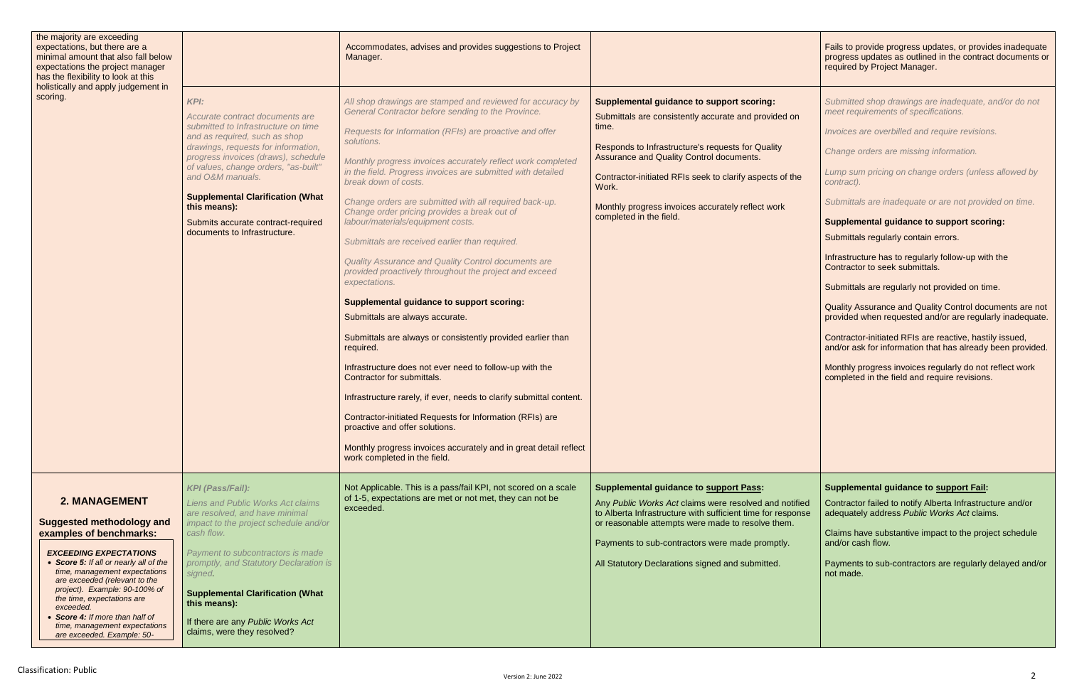|                    | Fails to provide progress updates, or provides inadequate<br>progress updates as outlined in the contract documents or<br>required by Project Manager. |
|--------------------|--------------------------------------------------------------------------------------------------------------------------------------------------------|
| d on               | Submitted shop drawings are inadequate, and/or do not<br>meet requirements of specifications.                                                          |
|                    | Invoices are overbilled and require revisions.                                                                                                         |
|                    | Change orders are missing information.                                                                                                                 |
| of the             | Lump sum pricing on change orders (unless allowed by<br>contract).                                                                                     |
|                    | Submittals are inadequate or are not provided on time.                                                                                                 |
|                    | <b>Supplemental guidance to support scoring:</b>                                                                                                       |
|                    | Submittals regularly contain errors.                                                                                                                   |
|                    | Infrastructure has to regularly follow-up with the<br>Contractor to seek submittals.                                                                   |
|                    | Submittals are regularly not provided on time.                                                                                                         |
|                    | Quality Assurance and Quality Control documents are not<br>provided when requested and/or are regularly inadequate.                                    |
|                    | Contractor-initiated RFIs are reactive, hastily issued,<br>and/or ask for information that has already been provided.                                  |
|                    | Monthly progress invoices regularly do not reflect work<br>completed in the field and require revisions.                                               |
|                    |                                                                                                                                                        |
|                    |                                                                                                                                                        |
|                    |                                                                                                                                                        |
|                    |                                                                                                                                                        |
|                    | <b>Supplemental guidance to support Fail:</b>                                                                                                          |
| าotified<br>sponse | Contractor failed to notify Alberta Infrastructure and/or<br>adequately address Public Works Act claims.                                               |
| m.<br>y.           | Claims have substantive impact to the project schedule<br>and/or cash flow.                                                                            |
|                    | Payments to sub-contractors are regularly delayed and/or<br>not made.                                                                                  |
|                    |                                                                                                                                                        |
|                    |                                                                                                                                                        |
|                    |                                                                                                                                                        |
|                    |                                                                                                                                                        |

| the majority are exceeding<br>expectations, but there are a<br>minimal amount that also fall below<br>expectations the project manager<br>has the flexibility to look at this<br>holistically and apply judgement in<br>scoring.                                                                                      | <b>KPI:</b><br>Accurate contract documents are<br>submitted to Infrastructure on time<br>and as required, such as shop<br>drawings, requests for information,<br>progress invoices (draws), schedule<br>of values, change orders, "as-built"<br>and O&M manuals.<br><b>Supplemental Clarification (What</b><br>this means):<br>Submits accurate contract-required<br>documents to Infrastructure. | Accommodates, advises and provides suggestions to Project<br>Manager.<br>All shop drawings are stamped and reviewed for accuracy by<br>General Contractor before sending to the Province.<br>Requests for Information (RFIs) are proactive and offer<br>solutions.<br>Monthly progress invoices accurately reflect work completed<br>in the field. Progress invoices are submitted with detailed<br>break down of costs.<br>Change orders are submitted with all required back-up.<br>Change order pricing provides a break out of<br>labour/materials/equipment costs.<br>Submittals are received earlier than required.<br>Quality Assurance and Quality Control documents are<br>provided proactively throughout the project and exceed<br>expectations.<br><b>Supplemental guidance to support scoring:</b><br>Submittals are always accurate.<br>Submittals are always or consistently provided earlier than<br>required.<br>Infrastructure does not ever need to follow-up with the<br>Contractor for submittals.<br>Infrastructure rarely, if ever, needs to clarify submittal content.<br>Contractor-initiated Requests for Information (RFIs) are<br>proactive and offer solutions.<br>Monthly progress invoices accurately and in great detail reflect<br>work completed in the field. | <b>Supplemental guidance to support scoring:</b><br>Submittals are consistently accurate and provided on<br>time.<br>Responds to Infrastructure's requests for Quality<br>Assurance and Quality Control documents.<br>Contractor-initiated RFIs seek to clarify aspects of the<br>Work.<br>Monthly progress invoices accurately reflect work<br>completed in the field. |
|-----------------------------------------------------------------------------------------------------------------------------------------------------------------------------------------------------------------------------------------------------------------------------------------------------------------------|---------------------------------------------------------------------------------------------------------------------------------------------------------------------------------------------------------------------------------------------------------------------------------------------------------------------------------------------------------------------------------------------------|--------------------------------------------------------------------------------------------------------------------------------------------------------------------------------------------------------------------------------------------------------------------------------------------------------------------------------------------------------------------------------------------------------------------------------------------------------------------------------------------------------------------------------------------------------------------------------------------------------------------------------------------------------------------------------------------------------------------------------------------------------------------------------------------------------------------------------------------------------------------------------------------------------------------------------------------------------------------------------------------------------------------------------------------------------------------------------------------------------------------------------------------------------------------------------------------------------------------------------------------------------------------------------------------------|-------------------------------------------------------------------------------------------------------------------------------------------------------------------------------------------------------------------------------------------------------------------------------------------------------------------------------------------------------------------------|
| <b>2. MANAGEMENT</b><br><b>Suggested methodology and</b><br>examples of benchmarks:                                                                                                                                                                                                                                   | <b>KPI (Pass/Fail):</b><br><b>Liens and Public Works Act claims</b><br>are resolved, and have minimal<br>impact to the project schedule and/or<br>cash flow.                                                                                                                                                                                                                                      | Not Applicable. This is a pass/fail KPI, not scored on a scale<br>of 1-5, expectations are met or not met, they can not be<br>exceeded.                                                                                                                                                                                                                                                                                                                                                                                                                                                                                                                                                                                                                                                                                                                                                                                                                                                                                                                                                                                                                                                                                                                                                          | <b>Supplemental guidance to support Pass:</b><br>Any Public Works Act claims were resolved and notified<br>to Alberta Infrastructure with sufficient time for response<br>or reasonable attempts were made to resolve them.                                                                                                                                             |
| <b>EXCEEDING EXPECTATIONS</b><br>• Score 5: If all or nearly all of the<br>time, management expectations<br>are exceeded (relevant to the<br>project). Example: 90-100% of<br>the time, expectations are<br>exceeded.<br>Score 4: If more than half of<br>time, management expectations<br>are exceeded. Example: 50- | Payment to subcontractors is made<br>promptly, and Statutory Declaration is<br>signed.<br><b>Supplemental Clarification (What</b><br>this means):<br>If there are any Public Works Act<br>claims, were they resolved?                                                                                                                                                                             |                                                                                                                                                                                                                                                                                                                                                                                                                                                                                                                                                                                                                                                                                                                                                                                                                                                                                                                                                                                                                                                                                                                                                                                                                                                                                                  | Payments to sub-contractors were made promptly.<br>All Statutory Declarations signed and submitted.                                                                                                                                                                                                                                                                     |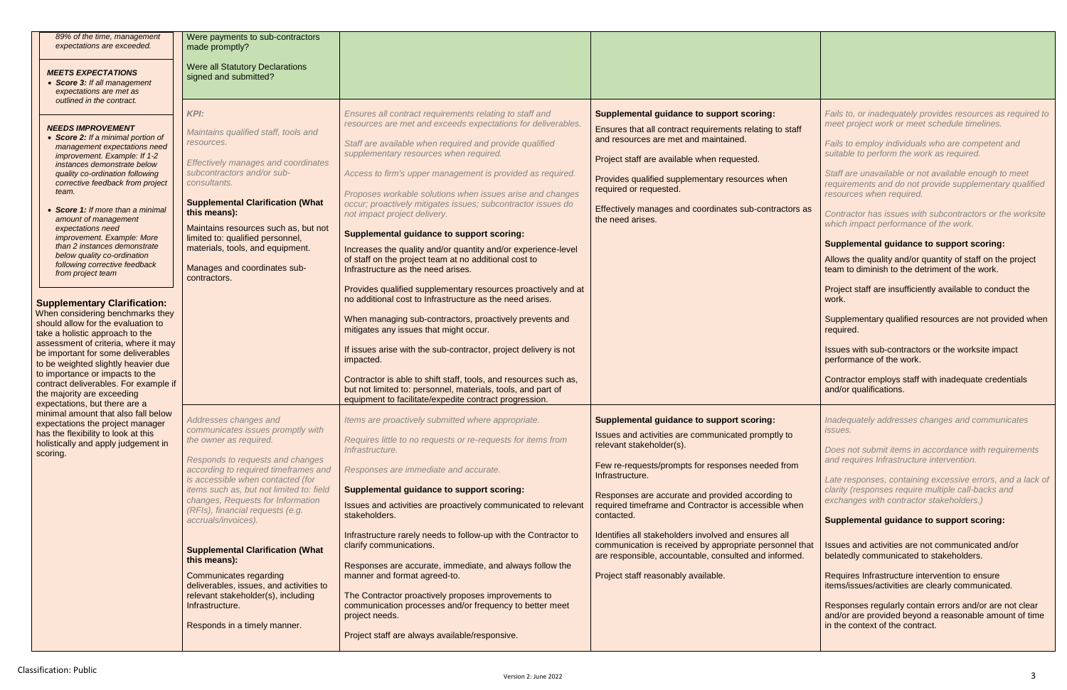| 89% of the time, management                                                                                                                                                                                                                                                                                                                                                                                                                                                                                                                                                                                                                                                                                                                                                                                                                                                                                                                                                                                                                                                                              | Were payments to sub-contractors                                                                                                                                                                                                                                                                                                                                                                                                                                                                                                                                           |                                                                                                                                                                                                                                                                                                                                                                                                                                                                                                                                                                                                                                                                                                                                                                                                                                                                                                                                                                                                |                                                                                                                                                                                                                                                                                                                                                                                                                                                                                                                                                         |
|----------------------------------------------------------------------------------------------------------------------------------------------------------------------------------------------------------------------------------------------------------------------------------------------------------------------------------------------------------------------------------------------------------------------------------------------------------------------------------------------------------------------------------------------------------------------------------------------------------------------------------------------------------------------------------------------------------------------------------------------------------------------------------------------------------------------------------------------------------------------------------------------------------------------------------------------------------------------------------------------------------------------------------------------------------------------------------------------------------|----------------------------------------------------------------------------------------------------------------------------------------------------------------------------------------------------------------------------------------------------------------------------------------------------------------------------------------------------------------------------------------------------------------------------------------------------------------------------------------------------------------------------------------------------------------------------|------------------------------------------------------------------------------------------------------------------------------------------------------------------------------------------------------------------------------------------------------------------------------------------------------------------------------------------------------------------------------------------------------------------------------------------------------------------------------------------------------------------------------------------------------------------------------------------------------------------------------------------------------------------------------------------------------------------------------------------------------------------------------------------------------------------------------------------------------------------------------------------------------------------------------------------------------------------------------------------------|---------------------------------------------------------------------------------------------------------------------------------------------------------------------------------------------------------------------------------------------------------------------------------------------------------------------------------------------------------------------------------------------------------------------------------------------------------------------------------------------------------------------------------------------------------|
| expectations are exceeded.                                                                                                                                                                                                                                                                                                                                                                                                                                                                                                                                                                                                                                                                                                                                                                                                                                                                                                                                                                                                                                                                               | made promptly?                                                                                                                                                                                                                                                                                                                                                                                                                                                                                                                                                             |                                                                                                                                                                                                                                                                                                                                                                                                                                                                                                                                                                                                                                                                                                                                                                                                                                                                                                                                                                                                |                                                                                                                                                                                                                                                                                                                                                                                                                                                                                                                                                         |
| <b>MEETS EXPECTATIONS</b><br>• Score 3: If all management<br>expectations are met as                                                                                                                                                                                                                                                                                                                                                                                                                                                                                                                                                                                                                                                                                                                                                                                                                                                                                                                                                                                                                     | <b>Were all Statutory Declarations</b><br>signed and submitted?                                                                                                                                                                                                                                                                                                                                                                                                                                                                                                            |                                                                                                                                                                                                                                                                                                                                                                                                                                                                                                                                                                                                                                                                                                                                                                                                                                                                                                                                                                                                |                                                                                                                                                                                                                                                                                                                                                                                                                                                                                                                                                         |
| outlined in the contract.<br><b>NEEDS IMPROVEMENT</b><br>• Score 2: If a minimal portion of<br>management expectations need<br>improvement. Example: If 1-2<br>instances demonstrate below<br>quality co-ordination following<br>corrective feedback from project<br>team.<br>• Score 1: If more than a minimal<br>amount of management<br>expectations need<br>improvement. Example: More<br>than 2 instances demonstrate<br>below quality co-ordination<br>following corrective feedback<br>from project team<br><b>Supplementary Clarification:</b><br>When considering benchmarks they<br>should allow for the evaluation to<br>take a holistic approach to the<br>assessment of criteria, where it may<br>be important for some deliverables<br>to be weighted slightly heavier due<br>to importance or impacts to the<br>contract deliverables. For example if<br>the majority are exceeding<br>expectations, but there are a<br>minimal amount that also fall below<br>expectations the project manager<br>has the flexibility to look at this<br>holistically and apply judgement in<br>scoring. | <b>KPI:</b><br>Maintains qualified staff, tools and<br>resources.<br><b>Effectively manages and coordinates</b><br>subcontractors and/or sub-<br>consultants.<br><b>Supplemental Clarification (What</b><br>this means):<br>Maintains resources such as, but not<br>limited to: qualified personnel,<br>materials, tools, and equipment.<br>Manages and coordinates sub-<br>contractors.                                                                                                                                                                                   | Ensures all contract requirements relating to staff and<br>resources are met and exceeds expectations for deliverables.<br>Staff are available when required and provide qualified<br>supplementary resources when required.<br>Access to firm's upper management is provided as required.<br>Proposes workable solutions when issues arise and changes<br>occur; proactively mitigates issues; subcontractor issues do<br>not impact project delivery.<br><b>Supplemental guidance to support scoring:</b><br>Increases the quality and/or quantity and/or experience-level<br>of staff on the project team at no additional cost to<br>Infrastructure as the need arises.<br>Provides qualified supplementary resources proactively and at<br>no additional cost to Infrastructure as the need arises.<br>When managing sub-contractors, proactively prevents and<br>mitigates any issues that might occur.<br>If issues arise with the sub-contractor, project delivery is not<br>impacted. | <b>Supplemental guidance to support scoring:</b><br>Ensures that all contract requirements relating to staff<br>and resources are met and maintained.<br>Project staff are available when requested.<br>Provides qualified supplementary resources when<br>required or requested.<br>Effectively manages and coordinates sub-contractors as<br>the need arises.                                                                                                                                                                                         |
|                                                                                                                                                                                                                                                                                                                                                                                                                                                                                                                                                                                                                                                                                                                                                                                                                                                                                                                                                                                                                                                                                                          | Addresses changes and<br>communicates issues promptly with<br>the owner as required.<br>Responds to requests and changes<br>according to required timeframes and<br>is accessible when contacted (for<br>items such as, but not limited to: field<br>changes, Requests for Information<br>(RFIs), financial requests (e.g.<br>accruals/invoices).<br><b>Supplemental Clarification (What</b><br>this means):<br>Communicates regarding<br>deliverables, issues, and activities to<br>relevant stakeholder(s), including<br>Infrastructure.<br>Responds in a timely manner. | Contractor is able to shift staff, tools, and resources such as,<br>but not limited to: personnel, materials, tools, and part of<br>equipment to facilitate/expedite contract progression.<br>Items are proactively submitted where appropriate.<br>Requires little to no requests or re-requests for items from<br>Infrastructure.<br>Responses are immediate and accurate.<br><b>Supplemental guidance to support scoring:</b><br>Issues and activities are proactively communicated to relevant<br>stakeholders.<br>Infrastructure rarely needs to follow-up with the Contractor to<br>clarify communications.<br>Responses are accurate, immediate, and always follow the<br>manner and format agreed-to.<br>The Contractor proactively proposes improvements to<br>communication processes and/or frequency to better meet<br>project needs.<br>Project staff are always available/responsive.                                                                                            | <b>Supplemental guidance to support scoring:</b><br>Issues and activities are communicated promptly to<br>relevant stakeholder(s).<br>Few re-requests/prompts for responses needed from<br>Infrastructure.<br>Responses are accurate and provided according to<br>required timeframe and Contractor is accessible when<br>contacted.<br>Identifies all stakeholders involved and ensures all<br>communication is received by appropriate personnel that<br>are responsible, accountable, consulted and informed.<br>Project staff reasonably available. |

| staff                 | Fails to, or inadequately provides resources as required to<br>meet project work or meet schedule timelines.                                                 |
|-----------------------|--------------------------------------------------------------------------------------------------------------------------------------------------------------|
|                       | Fails to employ individuals who are competent and<br>suitable to perform the work as required.                                                               |
|                       | Staff are unavailable or not available enough to meet<br>requirements and do not provide supplementary qualified<br>resources when required.                 |
| ctors as:             | Contractor has issues with subcontractors or the worksite<br>which impact performance of the work.                                                           |
|                       | <b>Supplemental guidance to support scoring:</b>                                                                                                             |
|                       | Allows the quality and/or quantity of staff on the project<br>team to diminish to the detriment of the work.                                                 |
|                       | Project staff are insufficiently available to conduct the<br>work.                                                                                           |
|                       | Supplementary qualified resources are not provided when<br>required.                                                                                         |
|                       | Issues with sub-contractors or the worksite impact<br>performance of the work.                                                                               |
|                       | Contractor employs staff with inadequate credentials<br>and/or qualifications.                                                                               |
|                       |                                                                                                                                                              |
| to                    | Inadequately addresses changes and communicates<br><b>ISSUES.</b>                                                                                            |
| rom                   | Does not submit items in accordance with requirements<br>and requires Infrastructure intervention.                                                           |
| to<br>when            | Late responses, containing excessive errors, and a lack of<br>clarity (responses require multiple call-backs and<br>exchanges with contractor stakeholders.) |
|                       | <b>Supplemental guidance to support scoring:</b>                                                                                                             |
|                       | Issues and activities are not communicated and/or<br>belatedly communicated to stakeholders.                                                                 |
|                       | Requires Infrastructure intervention to ensure<br>items/issues/activities are clearly communicated.                                                          |
| Ш<br>nel that<br>med. | Responses regularly contain errors and/or are not clear<br>and/or are provided beyond a reasonable amount of time<br>in the context of the contract.         |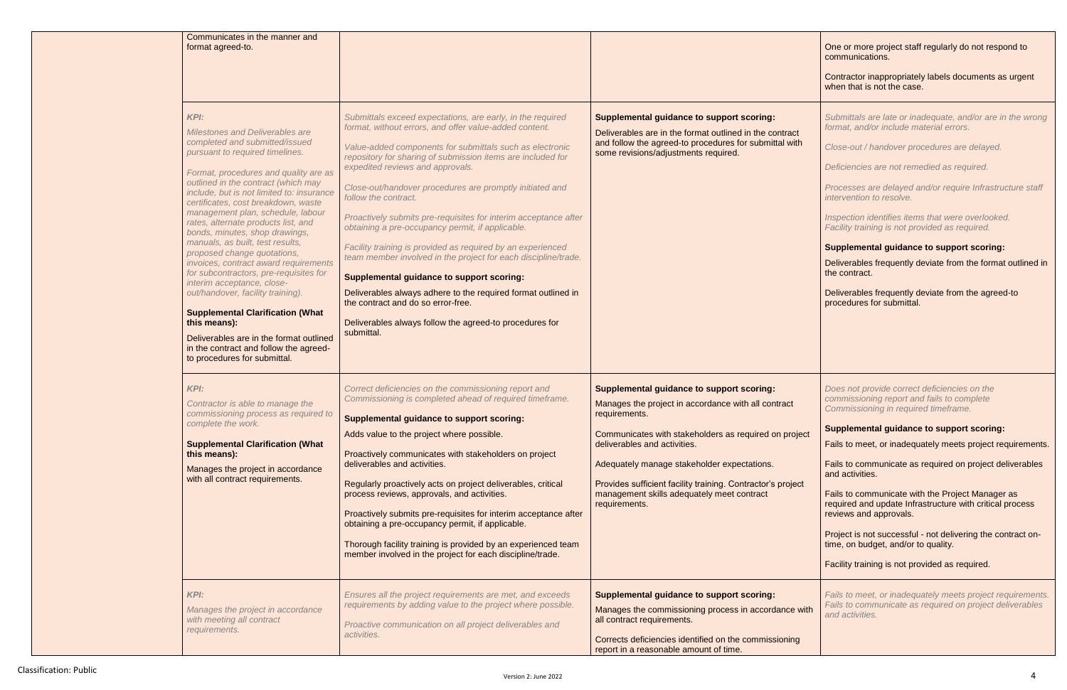| Communicates in the manner and<br>format agreed-to.                                                                                                                                                                                                                                                                                                                                                                                                                                                                                                                                                                                                                                                                                                                                                                   |                                                                                                                                                                                                                                                                                                                                                                                                                                                                                                                                                                                                                                                                                                                                                                                                                                                                     |                                                                                                                                                                                                                                                                                                                                                                                                | One or more project staff regularly do not respond to<br>communications.<br>Contractor inappropriately labels documents as urger<br>when that is not the case.                                                                                                                                                                                                                                                                                                                                                                                                                                                    |
|-----------------------------------------------------------------------------------------------------------------------------------------------------------------------------------------------------------------------------------------------------------------------------------------------------------------------------------------------------------------------------------------------------------------------------------------------------------------------------------------------------------------------------------------------------------------------------------------------------------------------------------------------------------------------------------------------------------------------------------------------------------------------------------------------------------------------|---------------------------------------------------------------------------------------------------------------------------------------------------------------------------------------------------------------------------------------------------------------------------------------------------------------------------------------------------------------------------------------------------------------------------------------------------------------------------------------------------------------------------------------------------------------------------------------------------------------------------------------------------------------------------------------------------------------------------------------------------------------------------------------------------------------------------------------------------------------------|------------------------------------------------------------------------------------------------------------------------------------------------------------------------------------------------------------------------------------------------------------------------------------------------------------------------------------------------------------------------------------------------|-------------------------------------------------------------------------------------------------------------------------------------------------------------------------------------------------------------------------------------------------------------------------------------------------------------------------------------------------------------------------------------------------------------------------------------------------------------------------------------------------------------------------------------------------------------------------------------------------------------------|
| <b>KPI:</b><br><b>Milestones and Deliverables are</b><br>completed and submitted/issued<br>pursuant to required timelines.<br>Format, procedures and quality are as<br>outlined in the contract (which may<br>include, but is not limited to: insurance<br>certificates, cost breakdown, waste<br>management plan, schedule, labour<br>rates, alternate products list, and<br>bonds, minutes, shop drawings,<br>manuals, as built, test results,<br>proposed change quotations,<br>invoices, contract award requirements<br>for subcontractors, pre-requisites for<br>interim acceptance, close-<br>out/handover, facility training).<br><b>Supplemental Clarification (What</b><br>this means):<br>Deliverables are in the format outlined<br>in the contract and follow the agreed-<br>to procedures for submittal. | Submittals exceed expectations, are early, in the required<br>format, without errors, and offer value-added content.<br>Value-added components for submittals such as electronic<br>repository for sharing of submission items are included for<br>expedited reviews and approvals.<br>Close-out/handover procedures are promptly initiated and<br>follow the contract.<br>Proactively submits pre-requisites for interim acceptance after<br>obtaining a pre-occupancy permit, if applicable.<br>Facility training is provided as required by an experienced<br>team member involved in the project for each discipline/trade.<br><b>Supplemental guidance to support scoring:</b><br>Deliverables always adhere to the required format outlined in<br>the contract and do so error-free.<br>Deliverables always follow the agreed-to procedures for<br>submittal. | <b>Supplemental guidance to support scoring:</b><br>Deliverables are in the format outlined in the contract<br>and follow the agreed-to procedures for submittal with<br>some revisions/adjustments required.                                                                                                                                                                                  | Submittals are late or inadequate, and/or are in the w<br>format, and/or include material errors.<br>Close-out / handover procedures are delayed.<br>Deficiencies are not remedied as required.<br>Processes are delayed and/or require Infrastructure s<br>intervention to resolve.<br>Inspection identifies items that were overlooked.<br>Facility training is not provided as required.<br><b>Supplemental guidance to support scoring:</b><br>Deliverables frequently deviate from the format outlin<br>the contract.<br>Deliverables frequently deviate from the agreed-to<br>procedures for submittal.     |
| <b>KPI:</b><br>Contractor is able to manage the<br>commissioning process as required to<br>complete the work.<br><b>Supplemental Clarification (What</b><br>this means):<br>Manages the project in accordance<br>with all contract requirements.                                                                                                                                                                                                                                                                                                                                                                                                                                                                                                                                                                      | Correct deficiencies on the commissioning report and<br>Commissioning is completed ahead of required timeframe.<br><b>Supplemental guidance to support scoring:</b><br>Adds value to the project where possible.<br>Proactively communicates with stakeholders on project<br>deliverables and activities.<br>Regularly proactively acts on project deliverables, critical<br>process reviews, approvals, and activities.<br>Proactively submits pre-requisites for interim acceptance after<br>obtaining a pre-occupancy permit, if applicable.<br>Thorough facility training is provided by an experienced team<br>member involved in the project for each discipline/trade.                                                                                                                                                                                       | <b>Supplemental guidance to support scoring:</b><br>Manages the project in accordance with all contract<br>requirements.<br>Communicates with stakeholders as required on project<br>deliverables and activities.<br>Adequately manage stakeholder expectations.<br>Provides sufficient facility training. Contractor's project<br>management skills adequately meet contract<br>requirements. | Does not provide correct deficiencies on the<br>commissioning report and fails to complete<br>Commissioning in required timeframe.<br>Supplemental guidance to support scoring:<br>Fails to meet, or inadequately meets project requirem<br>Fails to communicate as required on project deliveral<br>and activities.<br>Fails to communicate with the Project Manager as<br>required and update Infrastructure with critical proces<br>reviews and approvals.<br>Project is not successful - not delivering the contract<br>time, on budget, and/or to quality.<br>Facility training is not provided as required. |
| KPI:<br>Manages the project in accordance<br>with meeting all contract<br>requirements.                                                                                                                                                                                                                                                                                                                                                                                                                                                                                                                                                                                                                                                                                                                               | Ensures all the project requirements are met, and exceeds<br>requirements by adding value to the project where possible.<br>Proactive communication on all project deliverables and<br>activities.                                                                                                                                                                                                                                                                                                                                                                                                                                                                                                                                                                                                                                                                  | <b>Supplemental guidance to support scoring:</b><br>Manages the commissioning process in accordance with<br>all contract requirements.<br>Corrects deficiencies identified on the commissioning<br>report in a reasonable amount of time.                                                                                                                                                      | Fails to meet, or inadequately meets project requiren<br>Fails to communicate as required on project deliveral<br>and activities.                                                                                                                                                                                                                                                                                                                                                                                                                                                                                 |

|               | One or more project staff regularly do not respond to<br>communications.<br>Contractor inappropriately labels documents as urgent<br>when that is not the case. |  |
|---------------|-----------------------------------------------------------------------------------------------------------------------------------------------------------------|--|
| tract<br>with | Submittals are late or inadequate, and/or are in the wrong<br>format, and/or include material errors.<br>Close-out / handover procedures are delayed.           |  |
|               | Deficiencies are not remedied as required.                                                                                                                      |  |
|               | Processes are delayed and/or require Infrastructure staff<br>intervention to resolve.                                                                           |  |
|               | Inspection identifies items that were overlooked.<br>Facility training is not provided as required.                                                             |  |
|               | <b>Supplemental guidance to support scoring:</b>                                                                                                                |  |
|               | Deliverables frequently deviate from the format outlined in<br>the contract.                                                                                    |  |
|               | Deliverables frequently deviate from the agreed-to<br>procedures for submittal.                                                                                 |  |
| act           | Does not provide correct deficiencies on the<br>commissioning report and fails to complete<br>Commissioning in required timeframe.                              |  |
| project       | <b>Supplemental guidance to support scoring:</b><br>Fails to meet, or inadequately meets project requirements.                                                  |  |
|               | Fails to communicate as required on project deliverables<br>and activities.                                                                                     |  |
| roject        | Fails to communicate with the Project Manager as<br>required and update Infrastructure with critical process<br>reviews and approvals.                          |  |
|               | Project is not successful - not delivering the contract on-<br>time, on budget, and/or to quality.                                                              |  |
|               | Facility training is not provided as required.                                                                                                                  |  |
| าce with      | Fails to meet, or inadequately meets project requirements.<br>Fails to communicate as required on project deliverables<br>and activities.                       |  |
| ning          |                                                                                                                                                                 |  |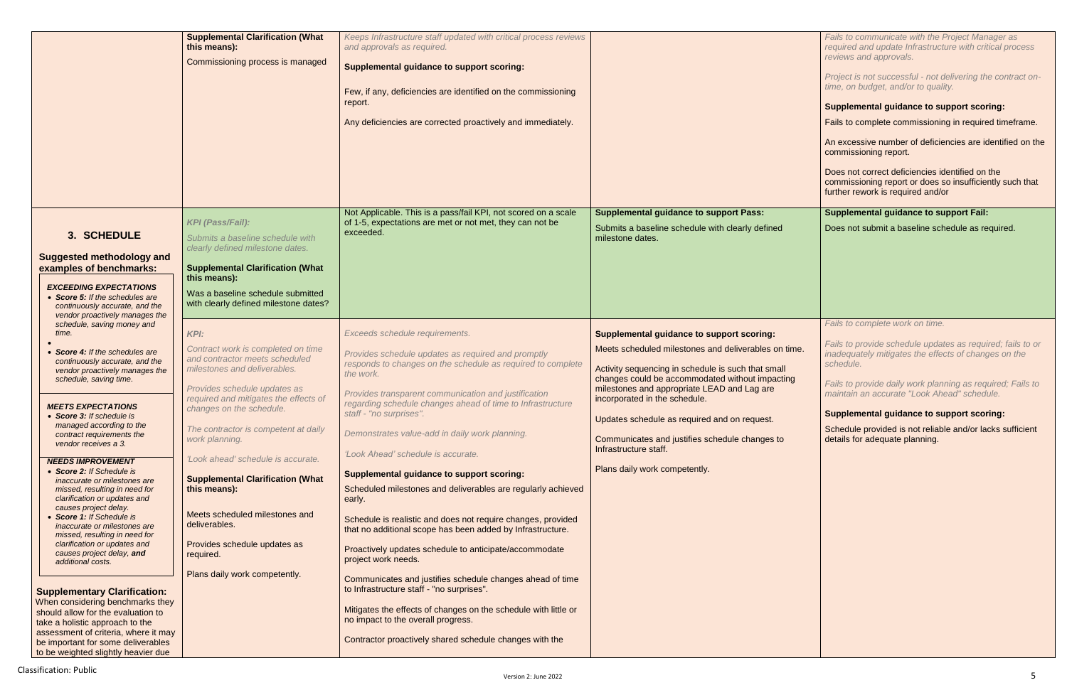|                                                                            | <b>Supplemental Clarification (What</b><br>this means):                    | Keeps Infrastructure staff updated with critical process reviews<br>and approvals as required.                             |                                                                              |
|----------------------------------------------------------------------------|----------------------------------------------------------------------------|----------------------------------------------------------------------------------------------------------------------------|------------------------------------------------------------------------------|
|                                                                            |                                                                            |                                                                                                                            |                                                                              |
|                                                                            | Commissioning process is managed                                           | <b>Supplemental guidance to support scoring:</b>                                                                           |                                                                              |
|                                                                            |                                                                            |                                                                                                                            |                                                                              |
|                                                                            |                                                                            | Few, if any, deficiencies are identified on the commissioning<br>report.                                                   |                                                                              |
|                                                                            |                                                                            | Any deficiencies are corrected proactively and immediately.                                                                |                                                                              |
|                                                                            |                                                                            |                                                                                                                            |                                                                              |
|                                                                            |                                                                            |                                                                                                                            |                                                                              |
|                                                                            |                                                                            |                                                                                                                            |                                                                              |
|                                                                            |                                                                            |                                                                                                                            |                                                                              |
|                                                                            |                                                                            | Not Applicable. This is a pass/fail KPI, not scored on a scale                                                             | <b>Supplemental guidance to support Pass:</b>                                |
|                                                                            | <b>KPI (Pass/Fail):</b>                                                    | of 1-5, expectations are met or not met, they can not be<br>exceeded.                                                      | Submits a baseline schedule with clearly defined                             |
| 3. SCHEDULE                                                                | Submits a baseline schedule with<br>clearly defined milestone dates.       |                                                                                                                            | milestone dates.                                                             |
| <b>Suggested methodology and</b>                                           |                                                                            |                                                                                                                            |                                                                              |
| examples of benchmarks:                                                    | <b>Supplemental Clarification (What</b>                                    |                                                                                                                            |                                                                              |
| <b>EXCEEDING EXPECTATIONS</b>                                              | this means):                                                               |                                                                                                                            |                                                                              |
| • Score 5: If the schedules are                                            | Was a baseline schedule submitted<br>with clearly defined milestone dates? |                                                                                                                            |                                                                              |
| continuously accurate, and the<br>vendor proactively manages the           |                                                                            |                                                                                                                            |                                                                              |
| schedule, saving money and                                                 |                                                                            |                                                                                                                            |                                                                              |
| time.                                                                      | <b>KPI:</b>                                                                | Exceeds schedule requirements.                                                                                             | <b>Supplemental guidance to support scoring:</b>                             |
| Score 4: If the schedules are                                              | Contract work is completed on time<br>and contractor meets scheduled       | Provides schedule updates as required and promptly                                                                         | Meets scheduled milestones and deliverables on time.                         |
| continuously accurate, and the<br>vendor proactively manages the           | milestones and deliverables.                                               | responds to changes on the schedule as required to complete<br>the work.                                                   | Activity sequencing in schedule is such that small                           |
| schedule, saving time.                                                     |                                                                            |                                                                                                                            | changes could be accommodated without impacting                              |
|                                                                            | Provides schedule updates as<br>required and mitigates the effects of      | Provides transparent communication and justification                                                                       | milestones and appropriate LEAD and Lag are<br>incorporated in the schedule. |
| <b>MEETS EXPECTATIONS</b>                                                  | changes on the schedule.                                                   | regarding schedule changes ahead of time to Infrastructure<br>staff - "no surprises".                                      |                                                                              |
| • Score 3: If schedule is<br>managed according to the                      | The contractor is competent at daily                                       |                                                                                                                            | Updates schedule as required and on request.                                 |
| contract requirements the<br>vendor receives a 3.                          | work planning.                                                             | Demonstrates value-add in daily work planning.                                                                             | Communicates and justifies schedule changes to                               |
|                                                                            | 'Look ahead' schedule is accurate.                                         | 'Look Ahead' schedule is accurate.                                                                                         | Infrastructure staff.                                                        |
| <b>NEEDS IMPROVEMENT</b><br><b>Score 2: If Schedule is</b>                 |                                                                            | <b>Supplemental guidance to support scoring:</b>                                                                           | Plans daily work competently.                                                |
| inaccurate or milestones are<br>missed, resulting in need for              | <b>Supplemental Clarification (What</b><br>this means):                    | Scheduled milestones and deliverables are regularly achieved                                                               |                                                                              |
| clarification or updates and                                               |                                                                            | early.                                                                                                                     |                                                                              |
| causes project delay.<br>Score 1: If Schedule is                           | Meets scheduled milestones and                                             |                                                                                                                            |                                                                              |
| inaccurate or milestones are                                               | deliverables.                                                              | Schedule is realistic and does not require changes, provided<br>that no additional scope has been added by Infrastructure. |                                                                              |
| missed, resulting in need for<br>clarification or updates and              | Provides schedule updates as                                               |                                                                                                                            |                                                                              |
| causes project delay, and                                                  | required.                                                                  | Proactively updates schedule to anticipate/accommodate<br>project work needs.                                              |                                                                              |
| additional costs.                                                          | Plans daily work competently.                                              |                                                                                                                            |                                                                              |
|                                                                            |                                                                            | Communicates and justifies schedule changes ahead of time<br>to Infrastructure staff - "no surprises".                     |                                                                              |
| <b>Supplementary Clarification:</b><br>When considering benchmarks they    |                                                                            |                                                                                                                            |                                                                              |
| should allow for the evaluation to                                         |                                                                            | Mitigates the effects of changes on the schedule with little or                                                            |                                                                              |
| take a holistic approach to the                                            |                                                                            | no impact to the overall progress.                                                                                         |                                                                              |
| assessment of criteria, where it may<br>be important for some deliverables |                                                                            | Contractor proactively shared schedule changes with the                                                                    |                                                                              |
| to be weighted slightly heavier due                                        |                                                                            |                                                                                                                            |                                                                              |

|       | Fails to communicate with the Project Manager as<br>required and update Infrastructure with critical process<br>reviews and approvals.           |
|-------|--------------------------------------------------------------------------------------------------------------------------------------------------|
|       | Project is not successful - not delivering the contract on-<br>time, on budget, and/or to quality.                                               |
|       | <b>Supplemental guidance to support scoring:</b><br>Fails to complete commissioning in required timeframe.                                       |
|       | An excessive number of deficiencies are identified on the<br>commissioning report.                                                               |
|       | Does not correct deficiencies identified on the<br>commissioning report or does so insufficiently such that<br>further rework is required and/or |
|       | <b>Supplemental guidance to support Fail:</b>                                                                                                    |
|       | Does not submit a baseline schedule as required.                                                                                                 |
|       |                                                                                                                                                  |
|       |                                                                                                                                                  |
|       |                                                                                                                                                  |
|       | Fails to complete work on time.                                                                                                                  |
| time. | Fails to provide schedule updates as required; fails to or<br>inadequately mitigates the effects of changes on the<br>schedule.                  |
| ing   | Fails to provide daily work planning as required; Fails to<br>maintain an accurate "Look Ahead" schedule.                                        |
|       | <b>Supplemental guidance to support scoring:</b>                                                                                                 |
|       | Schedule provided is not reliable and/or lacks sufficient<br>details for adequate planning.                                                      |
|       |                                                                                                                                                  |
|       |                                                                                                                                                  |
|       |                                                                                                                                                  |
|       |                                                                                                                                                  |
|       |                                                                                                                                                  |
|       |                                                                                                                                                  |
|       |                                                                                                                                                  |
|       |                                                                                                                                                  |
|       |                                                                                                                                                  |
|       |                                                                                                                                                  |
|       |                                                                                                                                                  |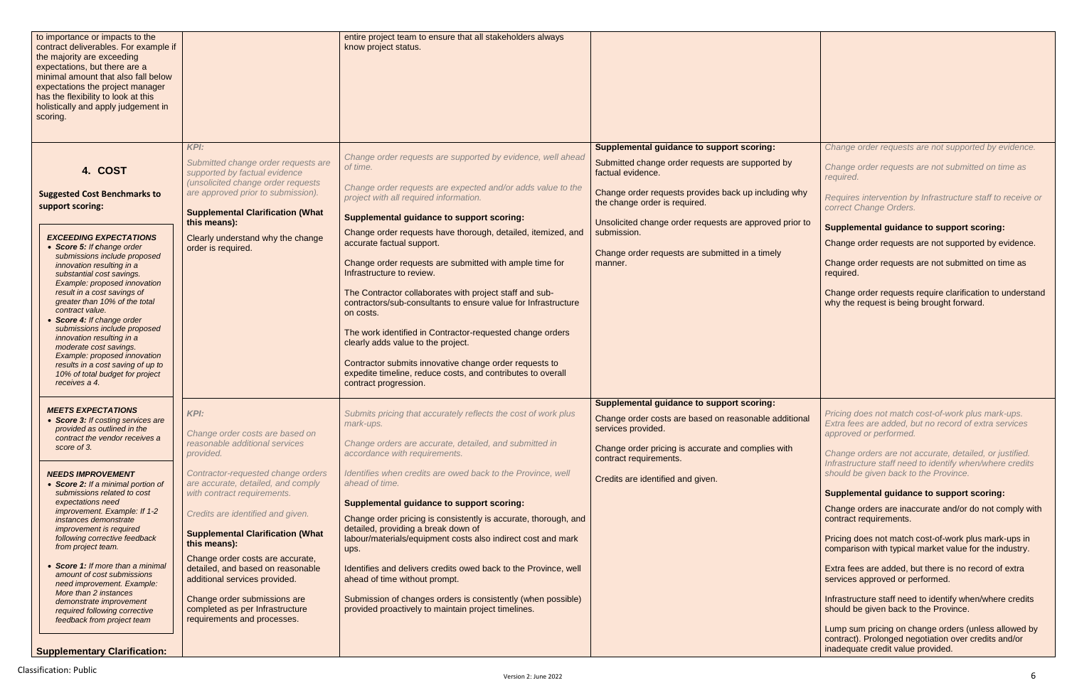| to importance or impacts to the<br>contract deliverables. For example if<br>the majority are exceeding<br>expectations, but there are a<br>minimal amount that also fall below<br>expectations the project manager<br>has the flexibility to look at this<br>holistically and apply judgement in<br>scoring.                                                                                                                                                                                                                                                                                 |                                                                                                                                                                                                                                                                                                                                                                                                                     | entire project team to ensure that all stakeholders always<br>know project status.                                                                                                                                                                                                                                                                                                                                                                                                                                                                                                                                                                                                                                                                                                                                |                                                                                                                                                                                                                                                                                                                                                            |
|----------------------------------------------------------------------------------------------------------------------------------------------------------------------------------------------------------------------------------------------------------------------------------------------------------------------------------------------------------------------------------------------------------------------------------------------------------------------------------------------------------------------------------------------------------------------------------------------|---------------------------------------------------------------------------------------------------------------------------------------------------------------------------------------------------------------------------------------------------------------------------------------------------------------------------------------------------------------------------------------------------------------------|-------------------------------------------------------------------------------------------------------------------------------------------------------------------------------------------------------------------------------------------------------------------------------------------------------------------------------------------------------------------------------------------------------------------------------------------------------------------------------------------------------------------------------------------------------------------------------------------------------------------------------------------------------------------------------------------------------------------------------------------------------------------------------------------------------------------|------------------------------------------------------------------------------------------------------------------------------------------------------------------------------------------------------------------------------------------------------------------------------------------------------------------------------------------------------------|
| 4. COST<br><b>Suggested Cost Benchmarks to</b><br>support scoring:<br><b>EXCEEDING EXPECTATIONS</b><br>• Score 5: If change order<br>submissions include proposed<br>innovation resulting in a<br>substantial cost savings.<br>Example: proposed innovation<br>result in a cost savings of<br>greater than 10% of the total<br>contract value.<br>• Score 4: If change order<br>submissions include proposed<br>innovation resulting in a<br>moderate cost savings.<br>Example: proposed innovation<br>results in a cost saving of up to<br>10% of total budget for project<br>receives a 4. | KPI:<br>Submitted change order requests are<br>supported by factual evidence<br>(unsolicited change order requests<br>are approved prior to submission).<br><b>Supplemental Clarification (What</b><br>this means):<br>Clearly understand why the change<br>order is required.                                                                                                                                      | Change order requests are supported by evidence, well ahead<br>of time.<br>Change order requests are expected and/or adds value to the<br>project with all required information.<br>Supplemental guidance to support scoring:<br>Change order requests have thorough, detailed, itemized, and<br>accurate factual support.<br>Change order requests are submitted with ample time for<br>Infrastructure to review.<br>The Contractor collaborates with project staff and sub-<br>contractors/sub-consultants to ensure value for Infrastructure<br>on costs.<br>The work identified in Contractor-requested change orders<br>clearly adds value to the project.<br>Contractor submits innovative change order requests to<br>expedite timeline, reduce costs, and contributes to overall<br>contract progression. | <b>Supplemental guidance to support scoring:</b><br>Submitted change order requests are supported by<br>factual evidence.<br>Change order requests provides back up including why<br>the change order is required.<br>Unsolicited change order requests are approved prior to<br>submission.<br>Change order requests are submitted in a timely<br>manner. |
| <b>MEETS EXPECTATIONS</b><br>• Score 3: If costing services are<br>provided as outlined in the<br>contract the vendor receives a<br>score of 3.                                                                                                                                                                                                                                                                                                                                                                                                                                              | <b>KPI:</b><br>Change order costs are based on<br>reasonable additional services<br>provided.                                                                                                                                                                                                                                                                                                                       | Submits pricing that accurately reflects the cost of work plus<br>mark-ups.<br>Change orders are accurate, detailed, and submitted in<br>accordance with requirements.                                                                                                                                                                                                                                                                                                                                                                                                                                                                                                                                                                                                                                            | <b>Supplemental guidance to support scoring:</b><br>Change order costs are based on reasonable additional<br>services provided.<br>Change order pricing is accurate and complies with<br>contract requirements.                                                                                                                                            |
| <b>NEEDS IMPROVEMENT</b><br>• Score 2: If a minimal portion of<br>submissions related to cost<br>expectations need<br>improvement. Example: If 1-2<br><i>instances demonstrate</i><br>improvement is required<br>following corrective feedback<br>from project team.<br>• Score 1: If more than a minimal<br>amount of cost submissions<br>need improvement. Example:<br>More than 2 instances<br>demonstrate improvement<br>required following corrective<br>feedback from project team<br><b>Supplementary Clarification:</b>                                                              | Contractor-requested change orders<br>are accurate, detailed, and comply<br>with contract requirements.<br>Credits are identified and given.<br><b>Supplemental Clarification (What</b><br>this means):<br>Change order costs are accurate,<br>detailed, and based on reasonable<br>additional services provided.<br>Change order submissions are<br>completed as per Infrastructure<br>requirements and processes. | Identifies when credits are owed back to the Province, well<br>ahead of time.<br><b>Supplemental guidance to support scoring:</b><br>Change order pricing is consistently is accurate, thorough, and<br>detailed, providing a break down of<br>labour/materials/equipment costs also indirect cost and mark<br>ups.<br>Identifies and delivers credits owed back to the Province, well<br>ahead of time without prompt.<br>Submission of changes orders is consistently (when possible)<br>provided proactively to maintain project timelines.                                                                                                                                                                                                                                                                    | Credits are identified and given.                                                                                                                                                                                                                                                                                                                          |

|                 | Change order requests are not supported by evidence.                                                                                                         |
|-----------------|--------------------------------------------------------------------------------------------------------------------------------------------------------------|
| эy              | Change order requests are not submitted on time as<br>required.                                                                                              |
| g why           | Requires intervention by Infrastructure staff to receive or<br>correct Change Orders.                                                                        |
| prior to        | <b>Supplemental guidance to support scoring:</b>                                                                                                             |
|                 | Change order requests are not supported by evidence.                                                                                                         |
|                 | Change order requests are not submitted on time as<br>required.                                                                                              |
|                 | Change order requests require clarification to understand<br>why the request is being brought forward.                                                       |
|                 |                                                                                                                                                              |
| ditional<br>ith | Pricing does not match cost-of-work plus mark-ups.<br>Extra fees are added, but no record of extra services<br>approved or performed.                        |
|                 | Change orders are not accurate, detailed, or justified.<br>Infrastructure staff need to identify when/where credits<br>should be given back to the Province. |
|                 | <b>Supplemental guidance to support scoring:</b>                                                                                                             |
|                 | Change orders are inaccurate and/or do not comply with<br>contract requirements.                                                                             |
|                 | Pricing does not match cost-of-work plus mark-ups in<br>comparison with typical market value for the industry.                                               |
|                 | Extra fees are added, but there is no record of extra<br>services approved or performed.                                                                     |
|                 | Infrastructure staff need to identify when/where credits<br>should be given back to the Province.                                                            |
|                 | Lump sum pricing on change orders (unless allowed by<br>contract). Prolonged negotiation over credits and/or<br>inadequate credit value provided.            |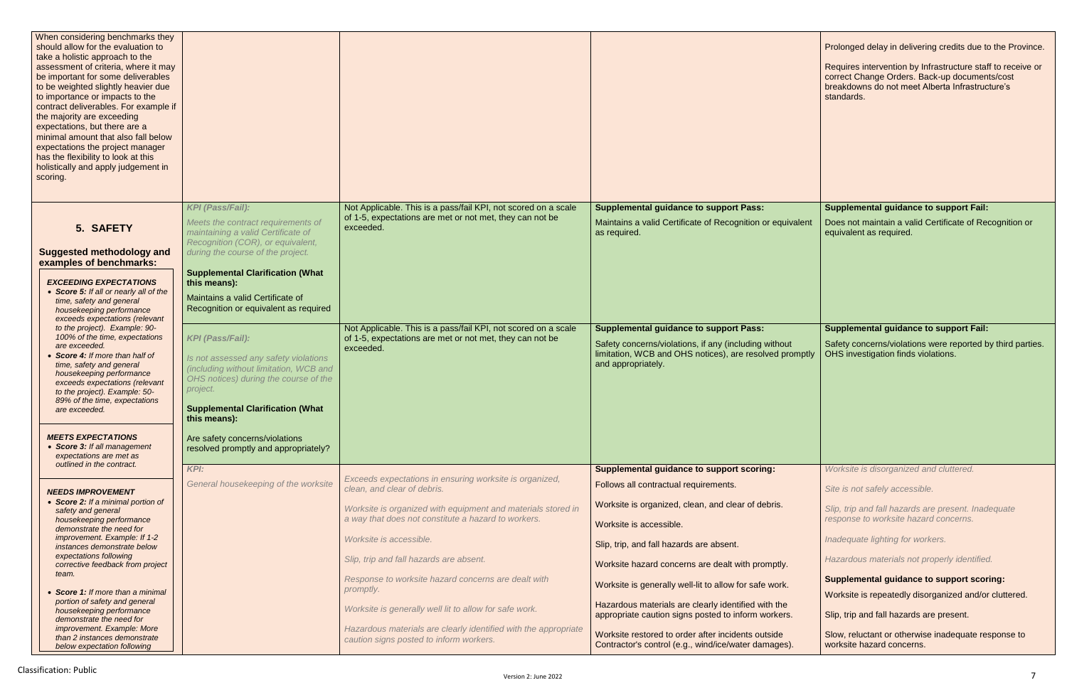| When considering benchmarks they<br>should allow for the evaluation to     |                                                                         |                                                                                                                            |                                                            |
|----------------------------------------------------------------------------|-------------------------------------------------------------------------|----------------------------------------------------------------------------------------------------------------------------|------------------------------------------------------------|
| take a holistic approach to the                                            |                                                                         |                                                                                                                            |                                                            |
| assessment of criteria, where it may<br>be important for some deliverables |                                                                         |                                                                                                                            |                                                            |
| to be weighted slightly heavier due                                        |                                                                         |                                                                                                                            |                                                            |
| to importance or impacts to the                                            |                                                                         |                                                                                                                            |                                                            |
| contract deliverables. For example if                                      |                                                                         |                                                                                                                            |                                                            |
| the majority are exceeding                                                 |                                                                         |                                                                                                                            |                                                            |
| expectations, but there are a<br>minimal amount that also fall below       |                                                                         |                                                                                                                            |                                                            |
| expectations the project manager                                           |                                                                         |                                                                                                                            |                                                            |
| has the flexibility to look at this                                        |                                                                         |                                                                                                                            |                                                            |
| holistically and apply judgement in<br>scoring.                            |                                                                         |                                                                                                                            |                                                            |
|                                                                            |                                                                         |                                                                                                                            |                                                            |
|                                                                            |                                                                         |                                                                                                                            |                                                            |
|                                                                            | <b>KPI</b> (Pass/Fail):                                                 | Not Applicable. This is a pass/fail KPI, not scored on a scale<br>of 1-5, expectations are met or not met, they can not be | <b>Supplemental guidance to support Pass:</b>              |
| 5. SAFETY                                                                  | Meets the contract requirements of                                      | exceeded.                                                                                                                  | Maintains a valid Certificate of Recognition or equivalent |
|                                                                            | maintaining a valid Certificate of<br>Recognition (COR), or equivalent, |                                                                                                                            | as required.                                               |
| <b>Suggested methodology and</b>                                           | during the course of the project.                                       |                                                                                                                            |                                                            |
| examples of benchmarks:                                                    |                                                                         |                                                                                                                            |                                                            |
| <b>EXCEEDING EXPECTATIONS</b>                                              | <b>Supplemental Clarification (What</b><br>this means):                 |                                                                                                                            |                                                            |
| • Score 5: If all or nearly all of the                                     | Maintains a valid Certificate of                                        |                                                                                                                            |                                                            |
| time, safety and general<br>housekeeping performance                       | Recognition or equivalent as required                                   |                                                                                                                            |                                                            |
| exceeds expectations (relevant                                             |                                                                         |                                                                                                                            |                                                            |
| to the project). Example: 90-                                              |                                                                         | Not Applicable. This is a pass/fail KPI, not scored on a scale                                                             | <b>Supplemental guidance to support Pass:</b>              |
| 100% of the time, expectations<br>are exceeded.                            | <b>KPI (Pass/Fail):</b>                                                 | of 1-5, expectations are met or not met, they can not be<br>exceeded.                                                      | Safety concerns/violations, if any (including without      |
| • Score 4: If more than half of                                            | Is not assessed any safety violations                                   |                                                                                                                            | limitation, WCB and OHS notices), are resolved promptly    |
| time, safety and general<br>housekeeping performance                       | (including without limitation, WCB and                                  |                                                                                                                            | and appropriately.                                         |
| exceeds expectations (relevant                                             | OHS notices) during the course of the<br>project.                       |                                                                                                                            |                                                            |
| to the project). Example: 50-<br>89% of the time, expectations             |                                                                         |                                                                                                                            |                                                            |
| are exceeded.                                                              | <b>Supplemental Clarification (What</b>                                 |                                                                                                                            |                                                            |
|                                                                            | this means):                                                            |                                                                                                                            |                                                            |
| <b>MEETS EXPECTATIONS</b>                                                  | Are safety concerns/violations                                          |                                                                                                                            |                                                            |
| • Score 3: If all management<br>expectations are met as                    | resolved promptly and appropriately?                                    |                                                                                                                            |                                                            |
| outlined in the contract.                                                  | <b>KPI:</b>                                                             |                                                                                                                            | Supplemental guidance to support scoring:                  |
|                                                                            | General housekeeping of the worksite                                    | Exceeds expectations in ensuring worksite is organized,                                                                    | Follows all contractual requirements.                      |
| <b>NEEDS IMPROVEMENT</b>                                                   |                                                                         | clean, and clear of debris.                                                                                                |                                                            |
| • Score 2: If a minimal portion of<br>safety and general                   |                                                                         | Worksite is organized with equipment and materials stored in                                                               | Worksite is organized, clean, and clear of debris.         |
| housekeeping performance<br>demonstrate the need for                       |                                                                         | a way that does not constitute a hazard to workers.                                                                        | Worksite is accessible.                                    |
| improvement. Example: If 1-2                                               |                                                                         | Worksite is accessible.                                                                                                    |                                                            |
| instances demonstrate below<br>expectations following                      |                                                                         |                                                                                                                            | Slip, trip, and fall hazards are absent.                   |
| corrective feedback from project                                           |                                                                         | Slip, trip and fall hazards are absent.                                                                                    | Worksite hazard concerns are dealt with promptly.          |
| team.                                                                      |                                                                         | Response to worksite hazard concerns are dealt with                                                                        | Worksite is generally well-lit to allow for safe work.     |
| • Score 1: If more than a minimal                                          |                                                                         | promptly.                                                                                                                  |                                                            |
| portion of safety and general<br>housekeeping performance                  |                                                                         | Worksite is generally well lit to allow for safe work.                                                                     | Hazardous materials are clearly identified with the        |
| demonstrate the need for                                                   |                                                                         |                                                                                                                            | appropriate caution signs posted to inform workers.        |
| improvement. Example: More<br>than 2 instances demonstrate                 |                                                                         | Hazardous materials are clearly identified with the appropriate                                                            | Worksite restored to order after incidents outside         |
| below expectation following                                                |                                                                         | caution signs posted to inform workers.                                                                                    | Contractor's control (e.g., wind/ice/water damages).       |

|                 | Prolonged delay in delivering credits due to the Province.                                                                                                                    |
|-----------------|-------------------------------------------------------------------------------------------------------------------------------------------------------------------------------|
|                 | Requires intervention by Infrastructure staff to receive or<br>correct Change Orders. Back-up documents/cost<br>breakdowns do not meet Alberta Infrastructure's<br>standards. |
|                 | <b>Supplemental guidance to support Fail:</b>                                                                                                                                 |
| <b>uivalent</b> | Does not maintain a valid Certificate of Recognition or<br>equivalent as required.                                                                                            |
|                 |                                                                                                                                                                               |
|                 |                                                                                                                                                                               |
|                 | <b>Supplemental guidance to support Fail:</b>                                                                                                                                 |
| ut<br>romptly   | Safety concerns/violations were reported by third parties.<br>OHS investigation finds violations.                                                                             |
|                 | Worksite is disorganized and cluttered.                                                                                                                                       |
|                 | Site is not safely accessible.                                                                                                                                                |
|                 | Slip, trip and fall hazards are present. Inadequate<br>response to worksite hazard concerns.                                                                                  |
|                 | Inadequate lighting for workers.                                                                                                                                              |
| Ι.              | Hazardous materials not properly identified.                                                                                                                                  |
| ٢.              | <b>Supplemental guidance to support scoring:</b>                                                                                                                              |
|                 | Worksite is repeatedly disorganized and/or cluttered.                                                                                                                         |
| Э<br>rs.        | Slip, trip and fall hazards are present.                                                                                                                                      |
| s).             | Slow, reluctant or otherwise inadequate response to<br>worksite hazard concerns.                                                                                              |